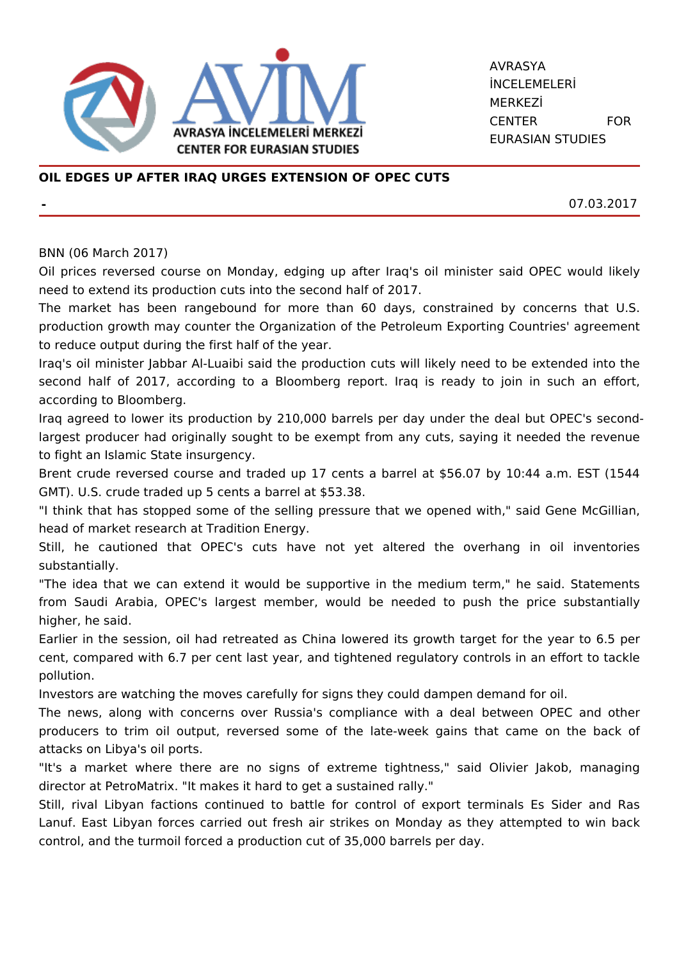

AVRASYA İNCELEMELERİ MERKEZİ CENTER FOR EURASIAN STUDIES

## **OIL EDGES UP AFTER IRAQ URGES EXTENSION OF OPEC CUTS**

**-** 07.03.2017

## BNN (06 March 2017)

Oil prices reversed course on Monday, edging up after Iraq's oil minister said OPEC would likely need to extend its production cuts into the second half of 2017.

The market has been rangebound for more than 60 days, constrained by concerns that U.S. production growth may counter the Organization of the Petroleum Exporting Countries' agreement to reduce output during the first half of the year.

Iraq's oil minister Jabbar Al-Luaibi said the production cuts will likely need to be extended into the second half of 2017, according to a Bloomberg report. Iraq is ready to join in such an effort, according to Bloomberg.

Iraq agreed to lower its production by 210,000 barrels per day under the deal but OPEC's secondlargest producer had originally sought to be exempt from any cuts, saying it needed the revenue to fight an Islamic State insurgency.

Brent crude reversed course and traded up 17 cents a barrel at \$56.07 by 10:44 a.m. EST (1544 GMT). U.S. crude traded up 5 cents a barrel at \$53.38.

"I think that has stopped some of the selling pressure that we opened with," said Gene McGillian, head of market research at Tradition Energy.

Still, he cautioned that OPEC's cuts have not yet altered the overhang in oil inventories substantially.

"The idea that we can extend it would be supportive in the medium term," he said. Statements from Saudi Arabia, OPEC's largest member, would be needed to push the price substantially higher, he said.

Earlier in the session, oil had retreated as China lowered its growth target for the year to 6.5 per cent, compared with 6.7 per cent last year, and tightened regulatory controls in an effort to tackle pollution.

Investors are watching the moves carefully for signs they could dampen demand for oil.

The news, along with concerns over Russia's compliance with a deal between OPEC and other producers to trim oil output, reversed some of the late-week gains that came on the back of attacks on Libya's oil ports.

"It's a market where there are no signs of extreme tightness," said Olivier Jakob, managing director at PetroMatrix. "It makes it hard to get a sustained rally."

Still, rival Libyan factions continued to battle for control of export terminals Es Sider and Ras Lanuf. East Libyan forces carried out fresh air strikes on Monday as they attempted to win back control, and the turmoil forced a production cut of 35,000 barrels per day.